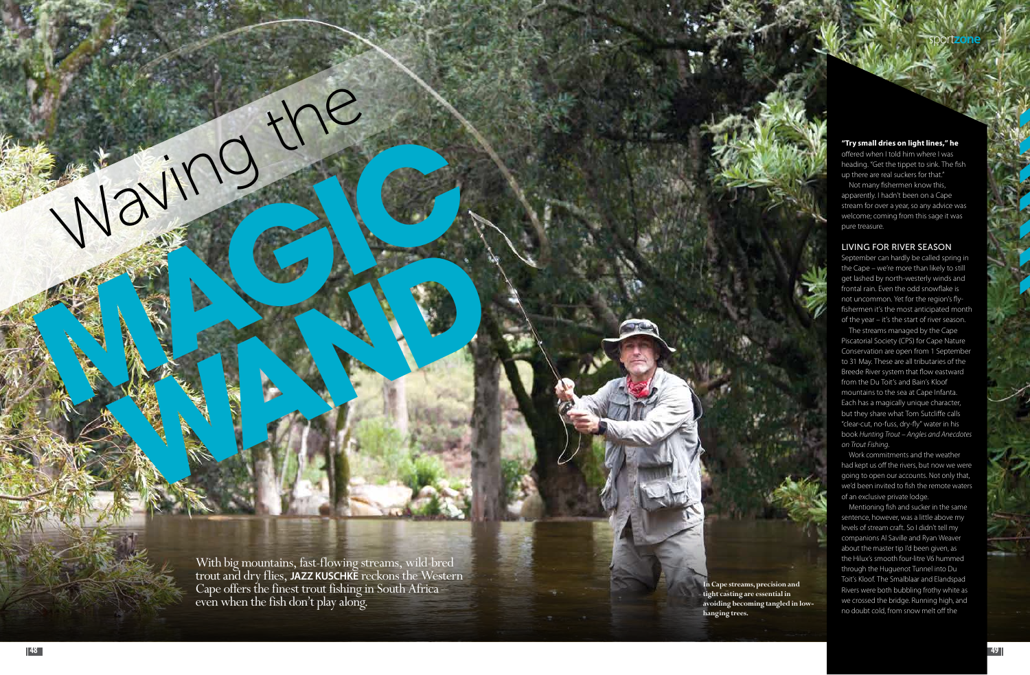

With big mountains, fast-flowing streams, wild-bred trout and dry flies, **Jazz Kusch e** reckons the Western **k** Cape offers the finest trout fishing in South Africa even when the fish don't play along.

**Maying Co.** 

Waving the

**In Cape streams, precision and tight casting are essential in avoiding becoming tangled in lowhanging trees.**

## **"Try small dries on light lines," he**

offered when I told him where I was heading. "Get the tippet to sink. The fish up there are real suckers for that."

Not many fishermen know this, apparently. I hadn't been on a Cape stream for over a year, so any advice was welcome; coming from this sage it was pure treasure.

## LIVING FOR RIVER SEASON

September can hardly be called spring in the Cape – we're more than likely to still get lashed by north-westerly winds and frontal rain. Even the odd snowflake is not uncommon. Yet for the region's flyfishermen it's the most anticipated month of the year – it's the start of river season.

The streams managed by the Cape Piscatorial Society (CPS) for Cape Nature Conservation are open from 1 September to 31 May. These are all tributaries of the Breede River system that flow eastward from the Du Toit's and Bain's Kloof mountains to the sea at Cape Infanta. Each has a magically unique character, but they share what Tom Sutcliffe calls "clear-cut, no-fuss, dry-fly" water in his book *Hunting Trout – Angles and Anecdotes on Trout Fishing*.

Work commitments and the weather had kept us off the rivers, but now we were going to open our accounts. Not only that, we'd been invited to fish the remote waters of an exclusive private lodge.

Mentioning fish and sucker in the same sentence, however, was a little above my levels of stream craft. So I didn't tell my companions Al Saville and Ryan Weaver about the master tip I'd been given, as the Hilux's smooth four-litre V6 hummed through the Huguenot Tunnel into Du Toit's Kloof. The Smalblaar and Elandspad Rivers were both bubbling frothy white as we crossed the bridge. Running high, and no doubt cold, from snow melt off the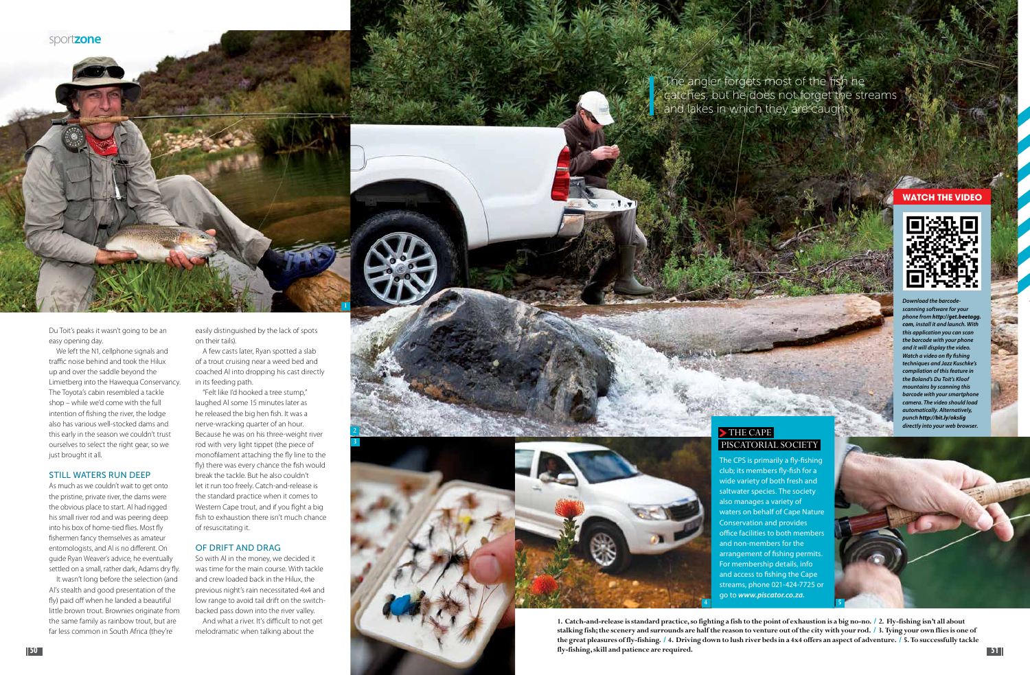

Du Toit's peaks it wasn't going to be an easy opening day.

We left the N1, cellphone signals and traffic noise behind and took the Hilux up and over the saddle beyond the Limietberg into the Hawequa Conservancy. The Toyota's cabin resembled a tackle shop – while we'd come with the full intention of fishing the river, the lodge also has various well-stocked dams and this early in the season we couldn't trust ourselves to select the right gear, so we just brought it all.

### STILL WATERS RUN DEEP

The angler forgets most of the fish he catches, but he does not forget the streams and lakes in which they are caught w

> THE CAPE PISCATORIAL SOCIETY

As much as we couldn't wait to get onto the pristine, private river, the dams were the obvious place to start. Al had rigged his small river rod and was peering deep into his box of home-tied flies. Most fly fishermen fancy themselves as amateur entomologists, and Al is no different. On guide Ryan Weaver's advice, he eventually settled on a small, rather dark, Adams dry fly.

It wasn't long before the selection (and Al's stealth and good presentation of the fly) paid off when he landed a beautiful little brown trout. Brownies originate from the same family as rainbow trout, but are far less common in South Africa (they're

easily distinguished by the lack of spots on their tails).

A few casts later, Ryan spotted a slab of a trout cruising near a weed bed and coached Al into dropping his cast directly in its feeding path.

"Felt like I'd hooked a tree stump," laughed Al some 15 minutes later as he released the big hen fish. It was a nerve-wracking quarter of an hour. Because he was on his three-weight river rod with very light tippet (the piece of monofilament attaching the fly line to the fly) there was every chance the fish would break the tackle. But he also couldn't let it run too freely. Catch-and-release is the standard practice when it comes to Western Cape trout, and if you fight a big fish to exhaustion there isn't much chance of resuscitating it.

**50 51 fly-fishing, skill and patience are required. 1. Catch-and-release is standard practice, so fighting a fish to the point of exhaustion is a big no-no. / 2. Fly-fishing isn't all about stalking fish; the scenery and surrounds are half the reason to venture out of the city with your rod. / 3. Tying your own flies is one of the great pleasures of fly-fishing. / 4. Driving down to lush river beds in a 4x4 offers an aspect of adventure. / 5. To successfully tackle** 

## OF DRIFT AND DRAG

So with Al in the money, we decided it was time for the main course. With tackle and crew loaded back in the Hilux, the previous night's rain necessitated 4x4 and low range to avoid tail drift on the switchbacked pass down into the river valley.

And what a river. It's difficult to not get melodramatic when talking about the





## **Watch the VIDEO**



*Download the barcodescanning software for your phone from http://get.beetagg. com, install it and launch. With this application you can scan the barcode with your phone and it will display the video. Watch a video on fly fishing techniques and Jazz Kuschke's compilation of this feature in the Boland's Du Toit's Kloof mountains by scanning this barcode with your smartphon camera. The video should load automatically. Alternatively, punch http://bit.ly/oksIig directly into your web browser.*

The CPS is primarily a fly-fishing club; its members fly-fish for a wide variety of both fresh and saltwater species. The society also manages a variety of waters on behalf of Cape Nature office facilities to both members arrangement of fishing permits. For membership details, info and access to fishing the Cape streams, phone 021-424-7725 or



Conservation and provides and non-members for the go to *www.piscator.co.za.*  **4 5**



**2 3**